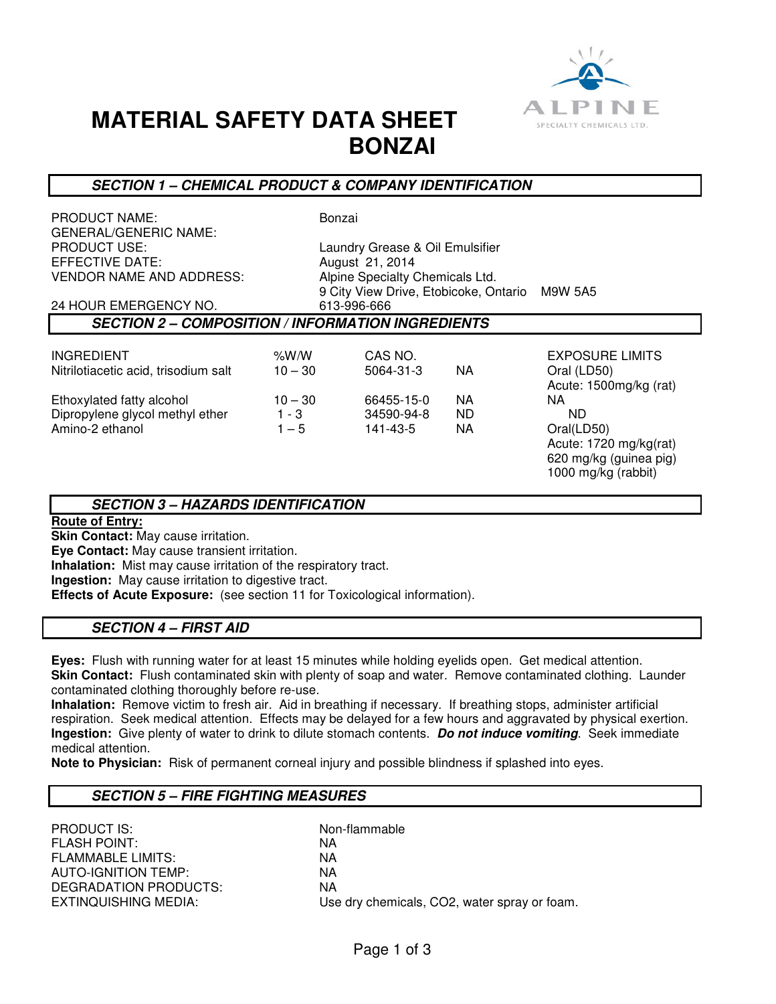

# **MATERIAL SAFETY DATA SHEET BONZAI**

# **SECTION 1 – CHEMICAL PRODUCT & COMPANY IDENTIFICATION**

| PRODUCT NAME:<br><b>GENERAL/GENERIC NAME:</b>            |           | Bonzai                                |     |                        |
|----------------------------------------------------------|-----------|---------------------------------------|-----|------------------------|
| PRODUCT USE:                                             |           | Laundry Grease & Oil Emulsifier       |     |                        |
| EFFECTIVE DATE:                                          |           | August 21, 2014                       |     |                        |
| VENDOR NAME AND ADDRESS:                                 |           | Alpine Specialty Chemicals Ltd.       |     |                        |
|                                                          |           | 9 City View Drive, Etobicoke, Ontario |     | M9W 5A5                |
| 24 HOUR EMERGENCY NO.                                    |           | 613-996-666                           |     |                        |
| <b>SECTION 2 – COMPOSITION / INFORMATION INGREDIENTS</b> |           |                                       |     |                        |
|                                                          |           |                                       |     |                        |
| INGREDIENT                                               | %W/W      | CAS NO.                               |     | <b>EXPOSURE LIMITS</b> |
| Nitrilotiacetic acid, trisodium salt                     | $10 - 30$ | 5064-31-3                             | NA  | Oral (LD50)            |
|                                                          |           |                                       |     | Acute: 1500mg/kg (rat) |
| Ethoxylated fatty alcohol                                | $10 - 30$ | 66455-15-0                            | NA. | NA.                    |
| Dipropylene glycol methyl ether                          | $1 - 3$   | 34590-94-8                            | ND. | ND.                    |
| Amino-2 ethanol                                          | $1 - 5$   | 141-43-5                              | NA. | Oral(LD50)             |
|                                                          |           |                                       |     | Acute: 1720 mg/kg(rat) |
|                                                          |           |                                       |     | 620 mg/kg (guinea pig) |
|                                                          |           |                                       |     | 1000 mg/kg (rabbit)    |
|                                                          |           |                                       |     |                        |
| <b>UAZADDE IDENTIEICATION</b><br>CECTION 2               |           |                                       |     |                        |

# **SECTION 3 – HAZARDS IDENTIFICATION**

### **Route of Entry:**

**Skin Contact:** May cause irritation.

**Eye Contact:** May cause transient irritation.

**Inhalation:** Mist may cause irritation of the respiratory tract.

**Ingestion:** May cause irritation to digestive tract.

**Effects of Acute Exposure:** (see section 11 for Toxicological information).

# **SECTION 4 – FIRST AID**

**Eyes:** Flush with running water for at least 15 minutes while holding eyelids open. Get medical attention. **Skin Contact:** Flush contaminated skin with plenty of soap and water. Remove contaminated clothing. Launder contaminated clothing thoroughly before re-use.

**Inhalation:** Remove victim to fresh air. Aid in breathing if necessary. If breathing stops, administer artificial respiration. Seek medical attention. Effects may be delayed for a few hours and aggravated by physical exertion. **Ingestion:** Give plenty of water to drink to dilute stomach contents. **Do not induce vomiting**. Seek immediate medical attention.

**Note to Physician:** Risk of permanent corneal injury and possible blindness if splashed into eyes.

# **SECTION 5 – FIRE FIGHTING MEASURES**

| <b>PRODUCT IS:</b>       | Non-flammable                                |
|--------------------------|----------------------------------------------|
| <b>FLASH POINT:</b>      | ΝA                                           |
| <b>FLAMMABLE LIMITS:</b> | ΝA                                           |
| AUTO-IGNITION TEMP:      | ΝA                                           |
| DEGRADATION PRODUCTS:    | ΝA                                           |
| EXTINQUISHING MEDIA:     | Use dry chemicals, CO2, water spray or foam. |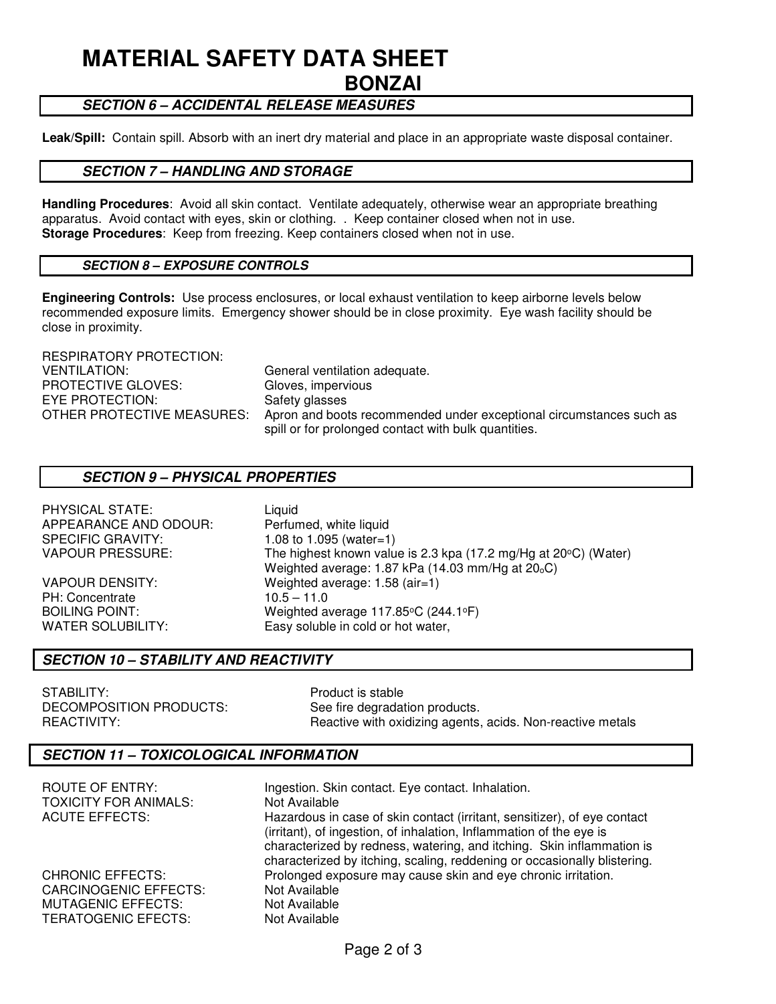# **MATERIAL SAFETY DATA SHEET BONZAI**

# **SECTION 6 – ACCIDENTAL RELEASE MEASURES**

**Leak/Spill:** Contain spill. Absorb with an inert dry material and place in an appropriate waste disposal container.

#### **SECTION 7 – HANDLING AND STORAGE**

**Handling Procedures**: Avoid all skin contact. Ventilate adequately, otherwise wear an appropriate breathing apparatus. Avoid contact with eyes, skin or clothing. . Keep container closed when not in use. **Storage Procedures**: Keep from freezing. Keep containers closed when not in use.

#### **SECTION 8 – EXPOSURE CONTROLS**

**Engineering Controls:** Use process enclosures, or local exhaust ventilation to keep airborne levels below recommended exposure limits. Emergency shower should be in close proximity. Eye wash facility should be close in proximity.

| RESPIRATORY PROTECTION:    |                                                                                                                             |
|----------------------------|-----------------------------------------------------------------------------------------------------------------------------|
| VENTILATION:               | General ventilation adequate.                                                                                               |
| PROTECTIVE GLOVES:         | Gloves, impervious                                                                                                          |
| EYE PROTECTION:            | Safety glasses                                                                                                              |
| OTHER PROTECTIVE MEASURES: | Apron and boots recommended under exceptional circumstances such as<br>spill or for prolonged contact with bulk quantities. |

#### **SECTION 9 – PHYSICAL PROPERTIES**

PHYSICAL STATE: Liquid APPEARANCE AND ODOUR: Perfumed, white liquid SPECIFIC GRAVITY: 1.08 to 1.095 (water=1)

PH: Concentrate 10.5 – 11.0

VAPOUR PRESSURE: The highest known value is 2.3 kpa (17.2 mg/Hg at 20 $\degree$ C) (Water) Weighted average: 1.87 kPa (14.03 mm/Hg at 20<sub>0</sub>C) VAPOUR DENSITY: Weighted average: 1.58 (air=1) BOILING POINT: Weighted average 117.85°C (244.1°F) WATER SOLUBILITY: Easy soluble in cold or hot water,

#### **SECTION 10 – STABILITY AND REACTIVITY**

STABILITY:<br>DECOMPOSITION PRODUCTS: See fire degradation

See fire degradation products. REACTIVITY: **REACTIVITY:** Reactive with oxidizing agents, acids. Non-reactive metals

#### **SECTION 11 – TOXICOLOGICAL INFORMATION**

| ROUTE OF ENTRY:<br><b>TOXICITY FOR ANIMALS:</b> | Ingestion. Skin contact. Eye contact. Inhalation.<br>Not Available       |
|-------------------------------------------------|--------------------------------------------------------------------------|
| <b>ACUTE EFFECTS:</b>                           | Hazardous in case of skin contact (irritant, sensitizer), of eye contact |
|                                                 | (irritant), of ingestion, of inhalation, Inflammation of the eye is      |
|                                                 | characterized by redness, watering, and itching. Skin inflammation is    |
|                                                 | characterized by itching, scaling, reddening or occasionally blistering. |
| <b>CHRONIC EFFECTS:</b>                         | Prolonged exposure may cause skin and eye chronic irritation.            |
| <b>CARCINOGENIC EFFECTS:</b>                    | Not Available                                                            |
| <b>MUTAGENIC EFFECTS:</b>                       | Not Available                                                            |
| <b>TERATOGENIC EFECTS:</b>                      | Not Available                                                            |